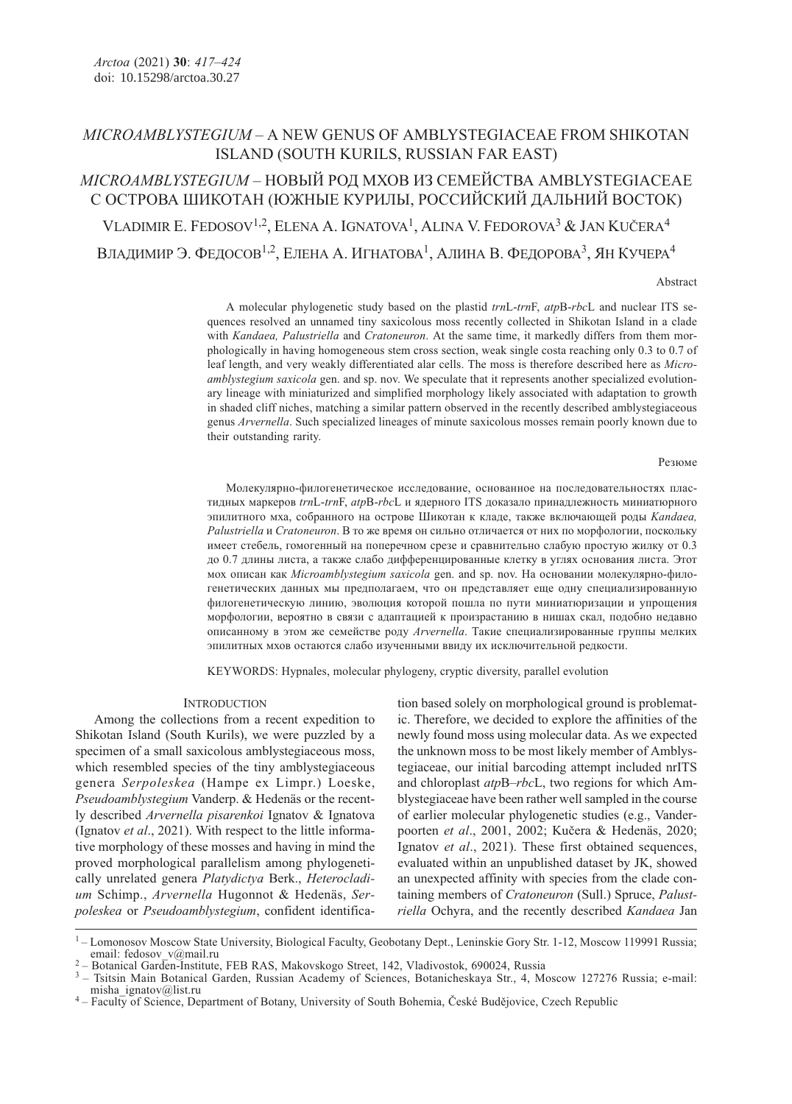# MICROAMBLYSTEGIUM – A NEW GENUS OF AMBLYSTEGIACEAE FROM SHIKOTAN ISLAND (SOUTH KURILS, RUSSIAN FAR EAST)

# MICROAMBLYSTEGIUM – НОВЫЙ РОД МХОВ ИЗ СЕМЕЙСТВА AMBLYSTEGIACEAE С ОСТРОВА ШИКОТАН (ЮЖНЫЕ КУРИЛЫ, РОССИЙСКИЙ ДАЛЬНИЙ ВОСТОК) VLADIMIR E. FEDOSOV<sup>1,2</sup>, ELENA A. IGNATOVA<sup>1</sup>, ALINA V. FEDOROVA<sup>3</sup> & JAN KUČERA<sup>4</sup> ВЛАДИМИР Э. ФЕДОСОВ<sup>1,2</sup>, ЕЛЕНА А. ИГНАТОВА<sup>1</sup>, АЛИНА В. ФЕДОРОВА<sup>3</sup>, ЯН КУЧЕРА<sup>4</sup>

Abstract

A molecular phylogenetic study based on the plastid trnL-trnF, atpB-rbcL and nuclear ITS sequences resolved an unnamed tiny saxicolous moss recently collected in Shikotan Island in a clade with Kandaea, Palustriella and Cratoneuron. At the same time, it markedly differs from them morphologically in having homogeneous stem cross section, weak single costa reaching only 0.3 to 0.7 of leaf length, and very weakly differentiated alar cells. The moss is therefore described here as Microamblystegium saxicola gen. and sp. nov. We speculate that it represents another specialized evolutionary lineage with miniaturized and simplified morphology likely associated with adaptation to growth in shaded cliff niches, matching a similar pattern observed in the recently described amblystegiaceous genus Arvernella. Such specialized lineages of minute saxicolous mosses remain poorly known due to their outstanding rarity.

#### Резюме

Молекулярно-филогенетическое исследование, основанное на последовательностях пластидных маркеров trnL-trnF, atpB-rbcL и ядерного ITS доказало принадлежность миниатюрного эпилитного мха, собранного на острове Шикотан к кладе, также включающей роды Kandaea, Palustriella и Cratoneuron. В то же время он сильно отличается от них по морфологии, поскольку имеет стебель, гомогенный на поперечном срезе и сравнительно слабую простую жилку от 0.3 до 0.7 длины листа, а также слабо дифференцированные клетку в углях основания листа. Этот мох описан как Microamblystegium saxicola gen. and sp. nov. На основании молекулярно-филогенетических данных мы предполагаем, что он представляет еще одну специализированную филогенетическую линию, эволюция которой пошла по пути миниатюризации и упрощения морфологии, вероятно в связи с адаптацией к произрастанию в нишах скал, подобно недавно описанному в этом же семействе роду Arvernella. Такие специализированные группы мелких эпилитных мхов остаются слабо изученными ввиду их исключительной редкости.

KEYWORDS: Hypnales, molecular phylogeny, cryptic diversity, parallel evolution

#### **INTRODUCTION**

Among the collections from a recent expedition to Shikotan Island (South Kurils), we were puzzled by a specimen of a small saxicolous amblystegiaceous moss, which resembled species of the tiny amblystegiaceous genera Serpoleskea (Hampe ex Limpr.) Loeske, Pseudoamblystegium Vanderp. & Hedenäs or the recently described Arvernella pisarenkoi Ignatov & Ignatova (Ignatov et al., 2021). With respect to the little informative morphology of these mosses and having in mind the proved morphological parallelism among phylogenetically unrelated genera Platydictya Berk., Heterocladium Schimp., Arvernella Hugonnot & Hedenäs, Serpoleskea or Pseudoamblystegium, confident identification based solely on morphological ground is problematic. Therefore, we decided to explore the affinities of the newly found moss using molecular data. As we expected the unknown moss to be most likely member of Amblystegiaceae, our initial barcoding attempt included nrITS and chloroplast *atp*B–*rbc*L, two regions for which Amblystegiaceae have been rather well sampled in the course of earlier molecular phylogenetic studies (e.g., Vanderpoorten et al., 2001, 2002; Kučera & Hedenäs, 2020; Ignatov et al., 2021). These first obtained sequences, evaluated within an unpublished dataset by JK, showed an unexpected affinity with species from the clade containing members of Cratoneuron (Sull.) Spruce, Palustriella Ochyra, and the recently described Kandaea Jan

<sup>&</sup>lt;sup>1</sup> – Lomonosov Moscow State University, Biological Faculty, Geobotany Dept., Leninskie Gory Str. 1-12, Moscow 119991 Russia; email: fedosov v@mail.ru

<sup>&</sup>lt;sup>2</sup> – Botanical Garden-Institute, FEB RAS, Makovskogo Street, 142, Vladivostok, 690024, Russia

<sup>&</sup>lt;sup>3</sup> – Tsitsin Main Botanical Garden, Russian Academy of Sciences, Botanicheskaya Str., 4, Moscow 127276 Russia; e-mail: misha ignatov@list.ru

<sup>&</sup>lt;sup>4</sup> – Faculty of Science, Department of Botany, University of South Bohemia, České Budějovice, Czech Republic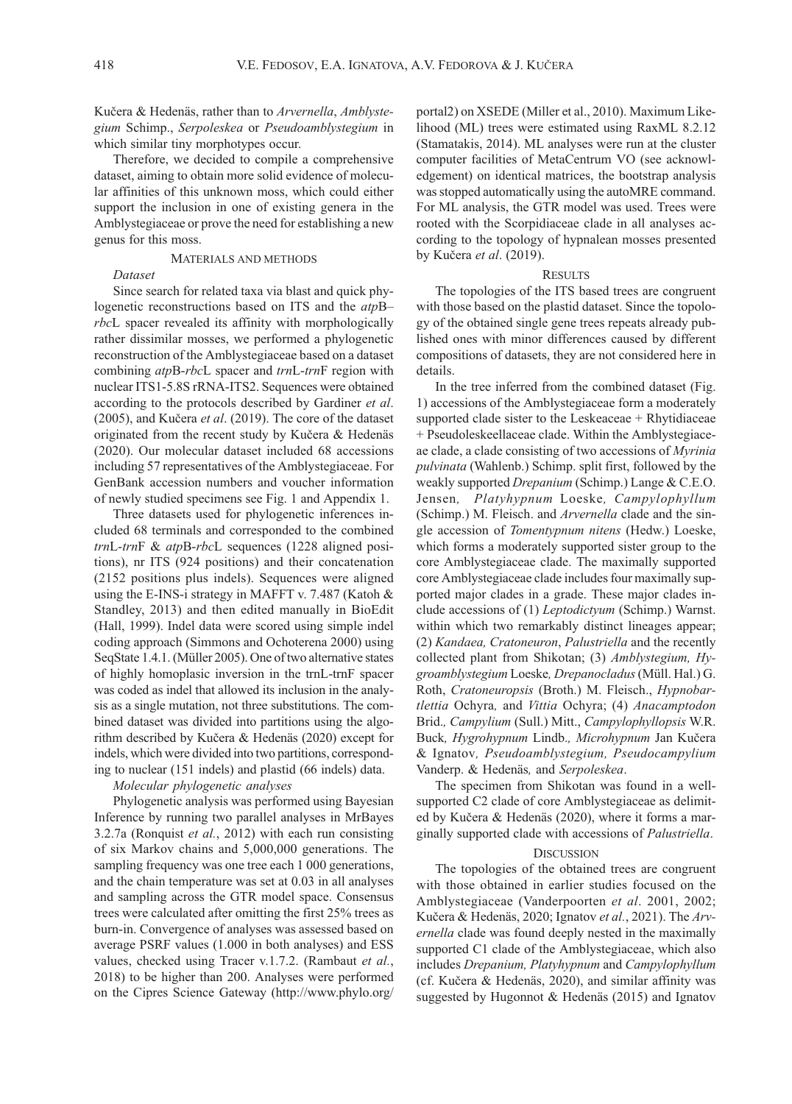Kučera & Hedenäs, rather than to Arvernella, Amblystegium Schimp., Serpoleskea or Pseudoamblystegium in which similar tiny morphotypes occur.

Therefore, we decided to compile a comprehensive dataset, aiming to obtain more solid evidence of molecular affinities of this unknown moss, which could either support the inclusion in one of existing genera in the Amblystegiaceae or prove the need for establishing a new genus for this moss.

# MATERIALS AND METHODS

## Dataset

Since search for related taxa via blast and quick phylogenetic reconstructions based on ITS and the atpB– rbcL spacer revealed its affinity with morphologically rather dissimilar mosses, we performed a phylogenetic reconstruction of the Amblystegiaceae based on a dataset combining atpB-rbcL spacer and trnL-trnF region with nuclear ITS1-5.8S rRNA-ITS2. Sequences were obtained according to the protocols described by Gardiner et al. (2005), and Kučera et al. (2019). The core of the dataset originated from the recent study by Kučera & Hedenäs (2020). Our molecular dataset included 68 accessions including 57 representatives of the Amblystegiaceae. For GenBank accession numbers and voucher information of newly studied specimens see Fig. 1 and Appendix 1.

Three datasets used for phylogenetic inferences included 68 terminals and corresponded to the combined trnL-trnF & atpB-rbcL sequences (1228 aligned positions), nr ITS (924 positions) and their concatenation (2152 positions plus indels). Sequences were aligned using the E-INS-i strategy in MAFFT v. 7.487 (Katoh & Standley, 2013) and then edited manually in BioEdit (Hall, 1999). Indel data were scored using simple indel coding approach (Simmons and Ochoterena 2000) using SeqState 1.4.1. (Müller 2005). One of two alternative states of highly homoplasic inversion in the trnL-trnF spacer was coded as indel that allowed its inclusion in the analysis as a single mutation, not three substitutions. The combined dataset was divided into partitions using the algorithm described by Kučera & Hedenäs (2020) except for indels, which were divided into two partitions, corresponding to nuclear (151 indels) and plastid (66 indels) data.

#### Molecular phylogenetic analyses

Phylogenetic analysis was performed using Bayesian Inference by running two parallel analyses in MrBayes 3.2.7a (Ronquist et al., 2012) with each run consisting of six Markov chains and 5,000,000 generations. The sampling frequency was one tree each 1 000 generations, and the chain temperature was set at 0.03 in all analyses and sampling across the GTR model space. Consensus trees were calculated after omitting the first 25% trees as burn-in. Convergence of analyses was assessed based on average PSRF values (1.000 in both analyses) and ESS values, checked using Tracer v.1.7.2. (Rambaut et al., 2018) to be higher than 200. Analyses were performed on the Cipres Science Gateway (http://www.phylo.org/

portal2) on XSEDE (Miller et al., 2010). Maximum Likelihood (ML) trees were estimated using RaxML 8.2.12 (Stamatakis, 2014). ML analyses were run at the cluster computer facilities of MetaCentrum VO (see acknowledgement) on identical matrices, the bootstrap analysis was stopped automatically using the autoMRE command. For ML analysis, the GTR model was used. Trees were rooted with the Scorpidiaceae clade in all analyses according to the topology of hypnalean mosses presented by Kučera et al. (2019).

#### **RESULTS**

The topologies of the ITS based trees are congruent with those based on the plastid dataset. Since the topology of the obtained single gene trees repeats already published ones with minor differences caused by different compositions of datasets, they are not considered here in details.

In the tree inferred from the combined dataset (Fig. 1) accessions of the Amblystegiaceae form a moderately supported clade sister to the Leskeaceae + Rhytidiaceae + Pseudoleskeellaceae clade. Within the Amblystegiaceae clade, a clade consisting of two accessions of Myrinia pulvinata (Wahlenb.) Schimp. split first, followed by the weakly supported Drepanium (Schimp.) Lange & C.E.O. Jensen, Platyhypnum Loeske, Campylophyllum (Schimp.) M. Fleisch. and *Arvernella* clade and the single accession of Tomentypnum nitens (Hedw.) Loeske, which forms a moderately supported sister group to the core Amblystegiaceae clade. The maximally supported core Amblystegiaceae clade includes four maximally supported major clades in a grade. These major clades include accessions of (1) Leptodictyum (Schimp.) Warnst. within which two remarkably distinct lineages appear; (2) Kandaea, Cratoneuron, Palustriella and the recently collected plant from Shikotan; (3) Amblystegium, Hygroamblystegium Loeske, Drepanocladus (Müll. Hal.) G. Roth, Cratoneuropsis (Broth.) M. Fleisch., Hypnobartlettia Ochyra, and Vittia Ochyra; (4) Anacamptodon Brid., Campylium (Sull.) Mitt., Campylophyllopsis W.R. Buck, Hygrohypnum Lindb., Microhypnum Jan Kučera & Ignatov, Pseudoamblystegium, Pseudocampylium Vanderp. & Hedenäs, and Serpoleskea.

The specimen from Shikotan was found in a wellsupported C2 clade of core Amblystegiaceae as delimited by Kučera & Hedenäs (2020), where it forms a marginally supported clade with accessions of Palustriella.

#### **DISCUSSION**

The topologies of the obtained trees are congruent with those obtained in earlier studies focused on the Amblystegiaceae (Vanderpoorten et al. 2001, 2002; Kučera & Hedenäs, 2020; Ignatov et al., 2021). The Arvernella clade was found deeply nested in the maximally supported C1 clade of the Amblystegiaceae, which also includes Drepanium, Platyhypnum and Campylophyllum (cf. Kučera & Hedenäs, 2020), and similar affinity was suggested by Hugonnot & Hedenäs (2015) and Ignatov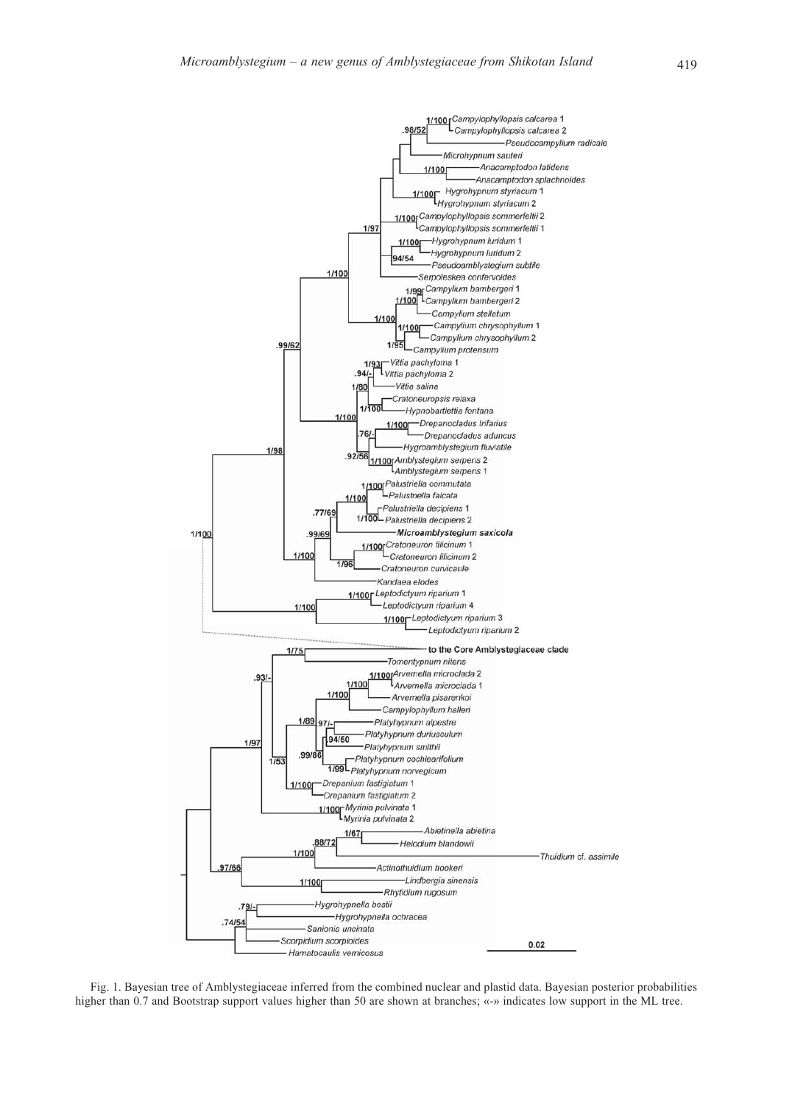

Fig. 1. Bayesian tree of Amblystegiaceae inferred from the combined nuclear and plastid data. Bayesian posterior probabilities higher than 0.7 and Bootstrap support values higher than 50 are shown at branches; «-» indicates low support in the ML tree.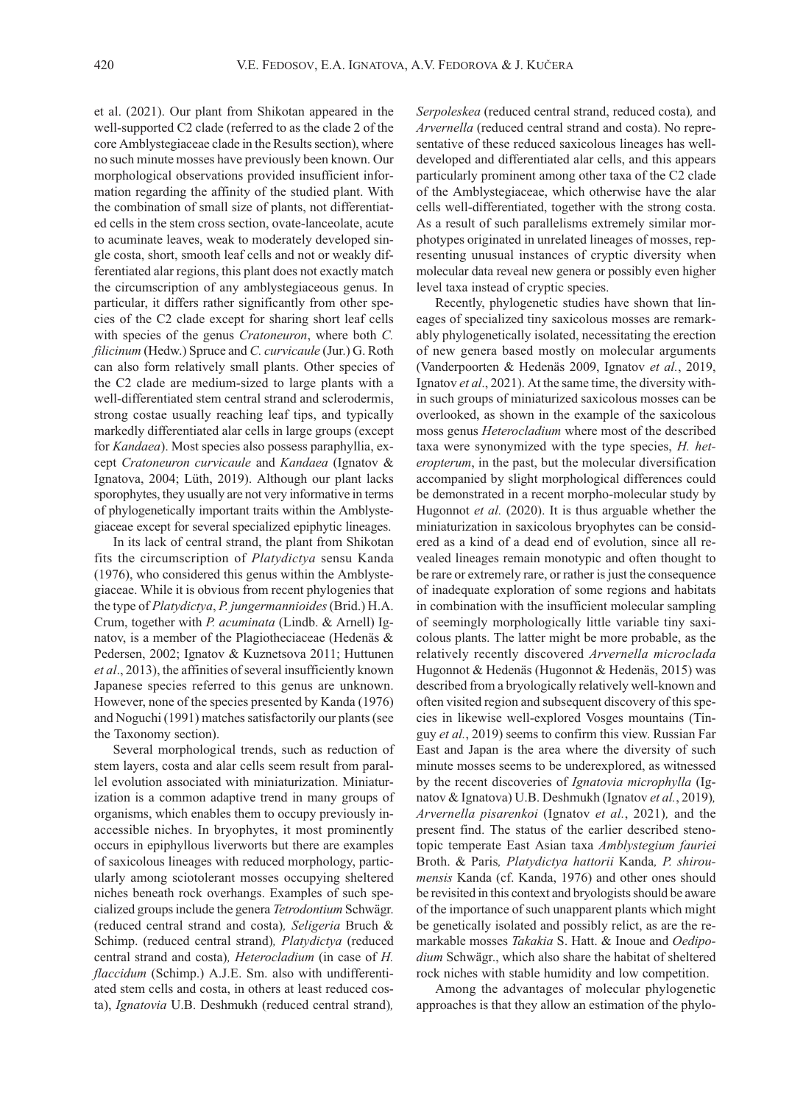et al. (2021). Our plant from Shikotan appeared in the well-supported C2 clade (referred to as the clade 2 of the core Amblystegiaceae clade in the Results section), where no such minute mosses have previously been known. Our morphological observations provided insufficient information regarding the affinity of the studied plant. With the combination of small size of plants, not differentiated cells in the stem cross section, ovate-lanceolate, acute to acuminate leaves, weak to moderately developed single costa, short, smooth leaf cells and not or weakly differentiated alar regions, this plant does not exactly match the circumscription of any amblystegiaceous genus. In particular, it differs rather significantly from other species of the C2 clade except for sharing short leaf cells with species of the genus *Cratoneuron*, where both *C*. filicinum (Hedw.) Spruce and C. curvicaule (Jur.) G. Roth can also form relatively small plants. Other species of the C2 clade are medium-sized to large plants with a well-differentiated stem central strand and sclerodermis, strong costae usually reaching leaf tips, and typically markedly differentiated alar cells in large groups (except for Kandaea). Most species also possess paraphyllia, except Cratoneuron curvicaule and Kandaea (Ignatov & Ignatova, 2004; Lüth, 2019). Although our plant lacks sporophytes, they usually are not very informative in terms of phylogenetically important traits within the Amblystegiaceae except for several specialized epiphytic lineages.

In its lack of central strand, the plant from Shikotan fits the circumscription of Platydictya sensu Kanda (1976), who considered this genus within the Amblystegiaceae. While it is obvious from recent phylogenies that the type of Platydictya, P. jungermannioides (Brid.) H.A. Crum, together with P. acuminata (Lindb. & Arnell) Ignatov, is a member of the Plagiotheciaceae (Hedenäs & Pedersen, 2002; Ignatov & Kuznetsova 2011; Huttunen et al., 2013), the affinities of several insufficiently known Japanese species referred to this genus are unknown. However, none of the species presented by Kanda (1976) and Noguchi (1991) matches satisfactorily our plants (see the Taxonomy section).

Several morphological trends, such as reduction of stem layers, costa and alar cells seem result from parallel evolution associated with miniaturization. Miniaturization is a common adaptive trend in many groups of organisms, which enables them to occupy previously inaccessible niches. In bryophytes, it most prominently occurs in epiphyllous liverworts but there are examples of saxicolous lineages with reduced morphology, particularly among sciotolerant mosses occupying sheltered niches beneath rock overhangs. Examples of such specialized groups include the genera Tetrodontium Schwägr. (reduced central strand and costa), Seligeria Bruch & Schimp. (reduced central strand), Platydictya (reduced central strand and costa), Heterocladium (in case of H. flaccidum (Schimp.) A.J.E. Sm. also with undifferentiated stem cells and costa, in others at least reduced costa), Ignatovia U.B. Deshmukh (reduced central strand),

Serpoleskea (reduced central strand, reduced costa), and Arvernella (reduced central strand and costa). No representative of these reduced saxicolous lineages has welldeveloped and differentiated alar cells, and this appears particularly prominent among other taxa of the C2 clade of the Amblystegiaceae, which otherwise have the alar cells well-differentiated, together with the strong costa. As a result of such parallelisms extremely similar morphotypes originated in unrelated lineages of mosses, representing unusual instances of cryptic diversity when molecular data reveal new genera or possibly even higher level taxa instead of cryptic species.

Recently, phylogenetic studies have shown that lineages of specialized tiny saxicolous mosses are remarkably phylogenetically isolated, necessitating the erection of new genera based mostly on molecular arguments (Vanderpoorten & Hedenäs 2009, Ignatov et al., 2019, Ignatov et al., 2021). At the same time, the diversity within such groups of miniaturized saxicolous mosses can be overlooked, as shown in the example of the saxicolous moss genus Heterocladium where most of the described taxa were synonymized with the type species, H. heteropterum, in the past, but the molecular diversification accompanied by slight morphological differences could be demonstrated in a recent morpho-molecular study by Hugonnot et al. (2020). It is thus arguable whether the miniaturization in saxicolous bryophytes can be considered as a kind of a dead end of evolution, since all revealed lineages remain monotypic and often thought to be rare or extremely rare, or rather is just the consequence of inadequate exploration of some regions and habitats in combination with the insufficient molecular sampling of seemingly morphologically little variable tiny saxicolous plants. The latter might be more probable, as the relatively recently discovered Arvernella microclada Hugonnot & Hedenäs (Hugonnot & Hedenäs, 2015) was described from a bryologically relatively well-known and often visited region and subsequent discovery of this species in likewise well-explored Vosges mountains (Tinguy et al., 2019) seems to confirm this view. Russian Far East and Japan is the area where the diversity of such minute mosses seems to be underexplored, as witnessed by the recent discoveries of Ignatovia microphylla (Ignatov & Ignatova) U.B. Deshmukh (Ignatov et al., 2019), Arvernella pisarenkoi (Ignatov et al., 2021), and the present find. The status of the earlier described stenotopic temperate East Asian taxa Amblystegium fauriei Broth. & Paris, Platydictya hattorii Kanda, P. shiroumensis Kanda (cf. Kanda, 1976) and other ones should be revisited in this context and bryologists should be aware of the importance of such unapparent plants which might be genetically isolated and possibly relict, as are the remarkable mosses Takakia S. Hatt. & Inoue and Oedipodium Schwägr., which also share the habitat of sheltered rock niches with stable humidity and low competition.

Among the advantages of molecular phylogenetic approaches is that they allow an estimation of the phylo-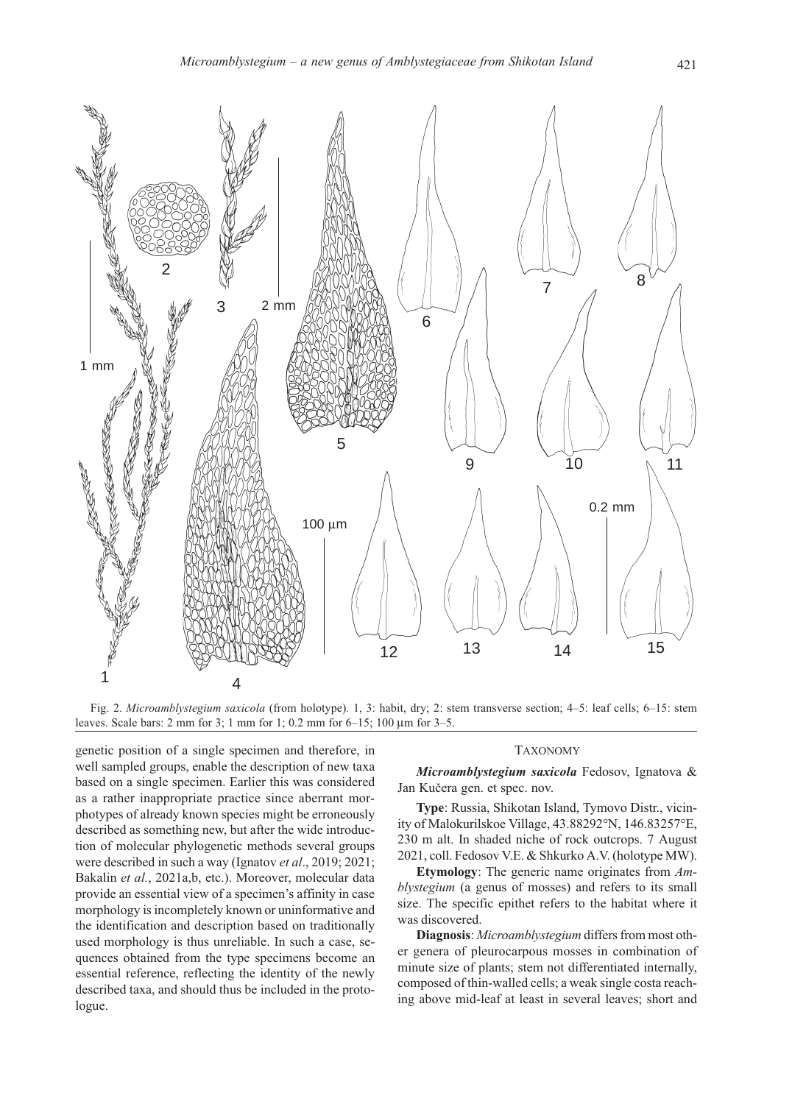

Fig. 2. Microamblystegium saxicola (from holotype). 1, 3: habit, dry; 2: stem transverse section; 4–5: leaf cells; 6–15: stem leaves. Scale bars: 2 mm for 3; 1 mm for 1; 0.2 mm for 6–15; 100 μm for 3–5.

genetic position of a single specimen and therefore, in well sampled groups, enable the description of new taxa based on a single specimen. Earlier this was considered as a rather inappropriate practice since aberrant morphotypes of already known species might be erroneously described as something new, but after the wide introduction of molecular phylogenetic methods several groups were described in such a way (Ignatov et al., 2019; 2021; Bakalin et al., 2021a,b, etc.). Moreover, molecular data provide an essential view of a specimen's affinity in case morphology is incompletely known or uninformative and the identification and description based on traditionally used morphology is thus unreliable. In such a case, sequences obtained from the type specimens become an essential reference, reflecting the identity of the newly described taxa, and should thus be included in the protologue.

#### TAXONOMY

Microamblystegium saxicola Fedosov, Ignatova & Jan Kučera gen. et spec. nov.

Type: Russia, Shikotan Island, Tymovo Distr., vicinity of Malokurilskoe Village, 43.88292°N, 146.83257°E, 230 m alt. In shaded niche of rock outcrops. 7 August 2021, coll. Fedosov V.E. & Shkurko A.V. (holotype MW).

Etymology: The generic name originates from Amblystegium (a genus of mosses) and refers to its small size. The specific epithet refers to the habitat where it was discovered.

Diagnosis: Microamblystegium differs from most other genera of pleurocarpous mosses in combination of minute size of plants; stem not differentiated internally, composed of thin-walled cells; a weak single costa reaching above mid-leaf at least in several leaves; short and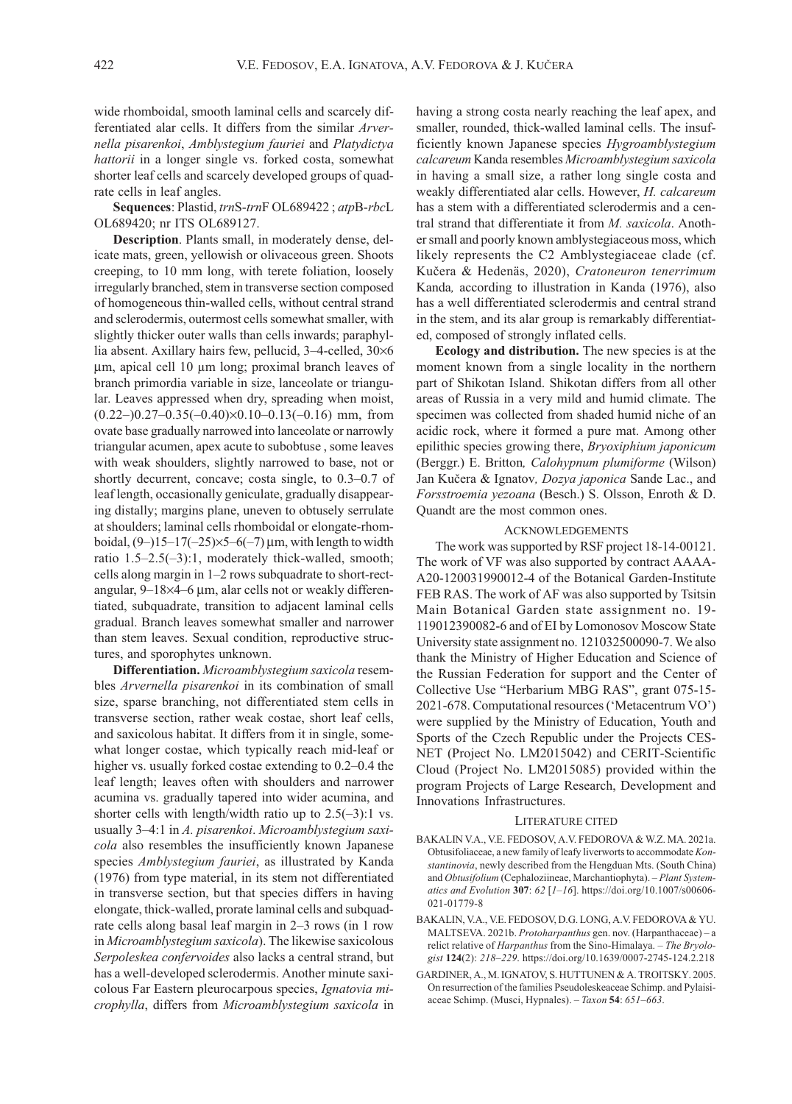wide rhomboidal, smooth laminal cells and scarcely differentiated alar cells. It differs from the similar Arvernella pisarenkoi, Amblystegium fauriei and Platydictya hattorii in a longer single vs. forked costa, somewhat shorter leaf cells and scarcely developed groups of quadrate cells in leaf angles.

Sequences: Plastid, trnS-trnF OL689422; atpB-rbcL OL689420; nr ITS OL689127.

Description. Plants small, in moderately dense, delicate mats, green, yellowish or olivaceous green. Shoots creeping, to 10 mm long, with terete foliation, loosely irregularly branched, stem in transverse section composed of homogeneous thin-walled cells, without central strand and sclerodermis, outermost cells somewhat smaller, with slightly thicker outer walls than cells inwards; paraphyllia absent. Axillary hairs few, pellucid, 3–4-celled, 30×6 μm, apical cell 10 μm long; proximal branch leaves of branch primordia variable in size, lanceolate or triangular. Leaves appressed when dry, spreading when moist,  $(0.22-)0.27-0.35(-0.40)\times0.10-0.13(-0.16)$  mm, from ovate base gradually narrowed into lanceolate or narrowly triangular acumen, apex acute to subobtuse , some leaves with weak shoulders, slightly narrowed to base, not or shortly decurrent, concave; costa single, to 0.3–0.7 of leaf length, occasionally geniculate, gradually disappearing distally; margins plane, uneven to obtusely serrulate at shoulders; laminal cells rhomboidal or elongate-rhomboidal,  $(9-)15-17(-25)\times5-6(-7)$  μm, with length to width ratio 1.5–2.5(–3):1, moderately thick-walled, smooth; cells along margin in 1–2 rows subquadrate to short-rectangular, 9–18×4–6 μm, alar cells not or weakly differentiated, subquadrate, transition to adjacent laminal cells gradual. Branch leaves somewhat smaller and narrower than stem leaves. Sexual condition, reproductive structures, and sporophytes unknown.

Differentiation. Microamblystegium saxicola resembles Arvernella pisarenkoi in its combination of small size, sparse branching, not differentiated stem cells in transverse section, rather weak costae, short leaf cells, and saxicolous habitat. It differs from it in single, somewhat longer costae, which typically reach mid-leaf or higher vs. usually forked costae extending to  $0.2-0.4$  the leaf length; leaves often with shoulders and narrower acumina vs. gradually tapered into wider acumina, and shorter cells with length/width ratio up to  $2.5(-3)$ :1 vs. usually 3–4:1 in A. pisarenkoi. Microamblystegium saxicola also resembles the insufficiently known Japanese species Amblystegium fauriei, as illustrated by Kanda (1976) from type material, in its stem not differentiated in transverse section, but that species differs in having elongate, thick-walled, prorate laminal cells and subquadrate cells along basal leaf margin in 2–3 rows (in 1 row in Microamblystegium saxicola). The likewise saxicolous Serpoleskea confervoides also lacks a central strand, but has a well-developed sclerodermis. Another minute saxicolous Far Eastern pleurocarpous species, Ignatovia microphylla, differs from Microamblystegium saxicola in

having a strong costa nearly reaching the leaf apex, and smaller, rounded, thick-walled laminal cells. The insufficiently known Japanese species Hygroamblystegium calcareum Kanda resembles Microamblystegium saxicola in having a small size, a rather long single costa and weakly differentiated alar cells. However, H. calcareum has a stem with a differentiated sclerodermis and a central strand that differentiate it from M. saxicola. Another small and poorly known amblystegiaceous moss, which likely represents the C2 Amblystegiaceae clade (cf. Kučera & Hedenäs, 2020), Cratoneuron tenerrimum Kanda, according to illustration in Kanda (1976), also has a well differentiated sclerodermis and central strand in the stem, and its alar group is remarkably differentiated, composed of strongly inflated cells.

Ecology and distribution. The new species is at the moment known from a single locality in the northern part of Shikotan Island. Shikotan differs from all other areas of Russia in a very mild and humid climate. The specimen was collected from shaded humid niche of an acidic rock, where it formed a pure mat. Among other epilithic species growing there, Bryoxiphium japonicum (Berggr.) E. Britton, Calohypnum plumiforme (Wilson) Jan Kučera & Ignatov, Dozya japonica Sande Lac., and Forsstroemia yezoana (Besch.) S. Olsson, Enroth & D. Quandt are the most common ones.

#### ACKNOWLEDGEMENTS

The work was supported by RSF project 18-14-00121. The work of VF was also supported by contract AAAA-A20-120031990012-4 of the Botanical Garden-Institute FEB RAS. The work of AF was also supported by Tsitsin Main Botanical Garden state assignment no. 19- 119012390082-6 and of EI by Lomonosov Moscow State University state assignment no. 121032500090-7. We also thank the Ministry of Higher Education and Science of the Russian Federation for support and the Center of Collective Use "Herbarium MBG RAS", grant 075-15- 2021-678. Computational resources ('Metacentrum VO') were supplied by the Ministry of Education, Youth and Sports of the Czech Republic under the Projects CES-NET (Project No. LM2015042) and CERIT-Scientific Cloud (Project No. LM2015085) provided within the program Projects of Large Research, Development and Innovations Infrastructures.

### LITERATURE CITED

- BAKALIN V.A., V.E. FEDOSOV, A.V. FEDOROVA & W.Z. MA. 2021a. Obtusifoliaceae, a new family of leafy liverworts to accommodate Konstantinovia, newly described from the Hengduan Mts. (South China) and Obtusifolium (Cephaloziineae, Marchantiophyta). – Plant Systematics and Evolution 307: 62 [1–16]. https://doi.org/10.1007/s00606- 021-01779-8
- BAKALIN, V.A., V.E. FEDOSOV, D.G. LONG, A.V. FEDOROVA & YU. MALTSEVA. 2021b. Protoharpanthus gen. nov. (Harpanthaceae) – a relict relative of Harpanthus from the Sino-Himalaya. – The Bryologist 124(2): 218–229. https://doi.org/10.1639/0007-2745-124.2.218
- GARDINER, A., M. IGNATOV, S. HUTTUNEN & A. TROITSKY. 2005. On resurrection of the families Pseudoleskeaceae Schimp. and Pylaisiaceae Schimp. (Musci, Hypnales). – Taxon 54: 651–663.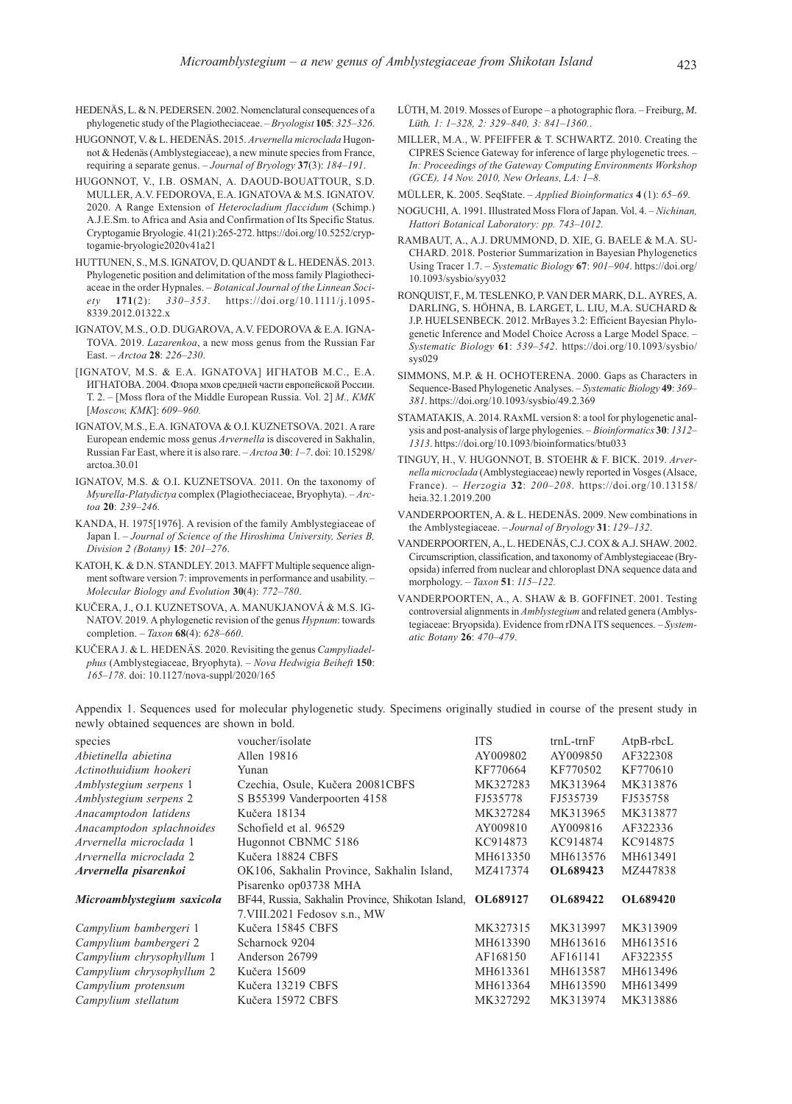- HEDENÄS, L. & N. PEDERSEN. 2002. Nomenclatural consequences of a phylogenetic study of the Plagiotheciaceae. – Bryologist 105: 325–326.
- HUGONNOT, V. & L. HEDENÄS. 2015. Arvernella microclada Hugonnot & Hedenäs (Amblystegiaceae), a new minute species from France, requiring a separate genus. – Journal of Bryology 37(3): 184–191.
- HUGONNOT, V., I.B. OSMAN, A. DAOUD-BOUATTOUR, S.D. MULLER, A.V. FEDOROVA, E.A. IGNATOVA & M.S. IGNATOV. 2020. A Range Extension of Heterocladium flaccidum (Schimp.) A.J.E.Sm. to Africa and Asia and Confirmation of Its Specific Status. Cryptogamie Bryologie. 41(21):265-272. https://doi.org/10.5252/cryptogamie-bryologie2020v41a21
- HUTTUNEN, S., M.S. IGNATOV, D. QUANDT & L. HEDENÄS. 2013. Phylogenetic position and delimitation of the moss family Plagiotheciaceae in the order Hypnales. – Botanical Journal of the Linnean Society 171(2): 330–353. https://doi.org/10.1111/j.1095- 8339.2012.01322.x
- IGNATOV, M.S., O.D. DUGAROVA, A.V. FEDOROVA & E.A. IGNA-TOVA. 2019. Lazarenkoa, a new moss genus from the Russian Far East. – Arctoa 28: 226–230.
- [IGNATOV, M.S. & E.A. IGNATOVA] ИГНАТОВ М.С., Е.А. ИГНАТОВА. 2004. Флора мхов средней части европейской России. Т. 2. – [Moss flora of the Middle European Russia. Vol. 2] М., КМК [Moscow, KMK]: 609–960.
- IGNATOV, M.S., E.A. IGNATOVA & O.I. KUZNETSOVA. 2021. A rare European endemic moss genus Arvernella is discovered in Sakhalin, Russian Far East, where it is also rare. – Arctoa 30: 1–7. doi: 10.15298/ arctoa.30.01
- IGNATOV, M.S. & O.I. KUZNETSOVA. 2011. On the taxonomy of Myurella-Platydictya complex (Plagiotheciaceae, Bryophyta). – Arctoa 20: 239–246.
- KANDA, H. 1975[1976]. A revision of the family Amblystegiaceae of Japan I. – Journal of Science of the Hiroshima University, Series B, Division 2 (Botany) 15: 201–276.
- KATOH, K. & D.N. STANDLEY. 2013. MAFFT Multiple sequence alignment software version 7: improvements in performance and usability. – Molecular Biology and Evolution 30(4): 772–780.
- KUČERA, J., O.I. KUZNETSOVA, A. MANUKJANOVÁ & M.S. IG-NATOV. 2019. A phylogenetic revision of the genus Hypnum: towards completion. – Taxon  $68(4)$ : 628–660.
- KUČERA J. & L. HEDENÄS. 2020. Revisiting the genus Campyliadelphus (Amblystegiaceae, Bryophyta). – Nova Hedwigia Beiheft 150: 165–178. doi: 10.1127/nova-suppl/2020/165
- LÜTH, M. 2019. Mosses of Europe a photographic flora. Freiburg, *M. Lüth*, 1: 1–328, 2: 329–840, 3: 841–1360..
- MILLER, M.A., W. PFEIFFER & T. SCHWARTZ. 2010. Creating the CIPRES Science Gateway for inference of large phylogenetic trees. – In: Proceedings of the Gateway Computing Environments Workshop (GCE), 14 Nov. 2010, New Orleans, LA: 1–8.

MÜLLER, K. 2005. SeqState. – Applied Bioinformatics 4 (1): 65–69.

- NOGUCHI, A. 1991. Illustrated Moss Flora of Japan. Vol. 4. Nichinan, Hattori Botanical Laboratory: pp. 743–1012.
- RAMBAUT, A., A.J. DRUMMOND, D. XIE, G. BAELE & M.A. SU-CHARD. 2018. Posterior Summarization in Bayesian Phylogenetics Using Tracer 1.7. – Systematic Biology 67: 901–904. https://doi.org/ 10.1093/sysbio/syy032
- RONQUIST, F., M. TESLENKO, P. VAN DER MARK, D.L. AYRES, A. DARLING, S. HÖHNA, B. LARGET, L. LIU, M.A. SUCHARD & J.P. HUELSENBECK. 2012. MrBayes 3.2: Efficient Bayesian Phylogenetic Inference and Model Choice Across a Large Model Space. – Systematic Biology 61: 539–542. https://doi.org/10.1093/sysbio/ sys029
- SIMMONS, M.P. & H. OCHOTERENA. 2000. Gaps as Characters in Sequence-Based Phylogenetic Analyses. – Systematic Biology 49: 369– 381. https://doi.org/10.1093/sysbio/49.2.369
- STAMATAKIS, A. 2014. RAxML version 8: a tool for phylogenetic analysis and post-analysis of large phylogenies. – Bioinformatics 30: 1312– 1313. https://doi.org/10.1093/bioinformatics/btu033
- TINGUY, H., V. HUGONNOT, B. STOEHR & F. BICK. 2019. Arvernella microclada (Amblystegiaceae) newly reported in Vosges (Alsace, France). – Herzogia 32: 200–208. https://doi.org/10.13158/ heia.32.1.2019.200
- VANDERPOORTEN, A. & L. HEDENÄS. 2009. New combinations in the Amblystegiaceae. – Journal of Bryology 31: 129–132.
- VANDERPOORTEN, A., L. HEDENÄS, C.J. COX & A.J. SHAW. 2002. Circumscription, classification, and taxonomy of Amblystegiaceae (Bryopsida) inferred from nuclear and chloroplast DNA sequence data and morphology. – Taxon 51: 115–122.
- VANDERPOORTEN, A., A. SHAW & B. GOFFINET. 2001. Testing controversial alignments in Amblystegium and related genera (Amblystegiaceae: Bryopsida). Evidence from rDNA ITS sequences. – Systematic Botany 26: 470–479.

Appendix 1. Sequences used for molecular phylogenetic study. Specimens originally studied in course of the present study in newly obtained sequences are shown in bold.

| species                    | voucher/isolate                                            | <b>ITS</b> | $trnL$ - $trnF$ | $AtpB$ -rbc $L$ |
|----------------------------|------------------------------------------------------------|------------|-----------------|-----------------|
| Abietinella abietina       | Allen 19816                                                | AY009802   | AY009850        | AF322308        |
| Actinothuidium hookeri     | Yunan                                                      | KF770664   | KF770502        | KF770610        |
| Amblystegium serpens 1     | Czechia, Osule, Kučera 20081CBFS                           | MK327283   | MK313964        | MK313876        |
| Amblystegium serpens 2     | S B55399 Vanderpoorten 4158                                | FJ535778   | FJ535739        | FJ535758        |
| Anacamptodon latidens      | Kučera 18134                                               | MK327284   | MK313965        | MK313877        |
| Anacamptodon splachnoides  | Schofield et al. 96529                                     | AY009810   | AY009816        | AF322336        |
| Arvernella microclada 1    | Hugonnot CBNMC 5186                                        | KC914873   | KC914874        | KC914875        |
| Arvernella microclada 2    | Kučera 18824 CBFS                                          | MH613350   | MH613576        | MH613491        |
| Arvernella pisarenkoi      | OK106, Sakhalin Province, Sakhalin Island,                 | MZ417374   | OL689423        | MZ447838        |
|                            | Pisarenko op03738 MHA                                      |            |                 |                 |
| Microamblystegium saxicola | BF44, Russia, Sakhalin Province, Shikotan Island, OL689127 |            | OL689422        | <b>OL689420</b> |
|                            | 7. VIII. 2021 Fedosov s.n., MW                             |            |                 |                 |
| Campylium bambergeri 1     | Kučera 15845 CBFS                                          | MK327315   | MK313997        | MK313909        |
| Campylium bambergeri 2     | Scharnock 9204                                             | MH613390   | MH613616        | MH613516        |
| Campylium chrysophyllum 1  | Anderson 26799                                             | AF168150   | AF161141        | AF322355        |
| Campylium chrysophyllum 2  | Kučera 15609                                               | MH613361   | MH613587        | MH613496        |
| Campylium protensum        | Kučera 13219 CBFS                                          | MH613364   | MH613590        | MH613499        |
| Campylium stellatum        | Kučera 15972 CBFS                                          | MK327292   | MK313974        | MK313886        |